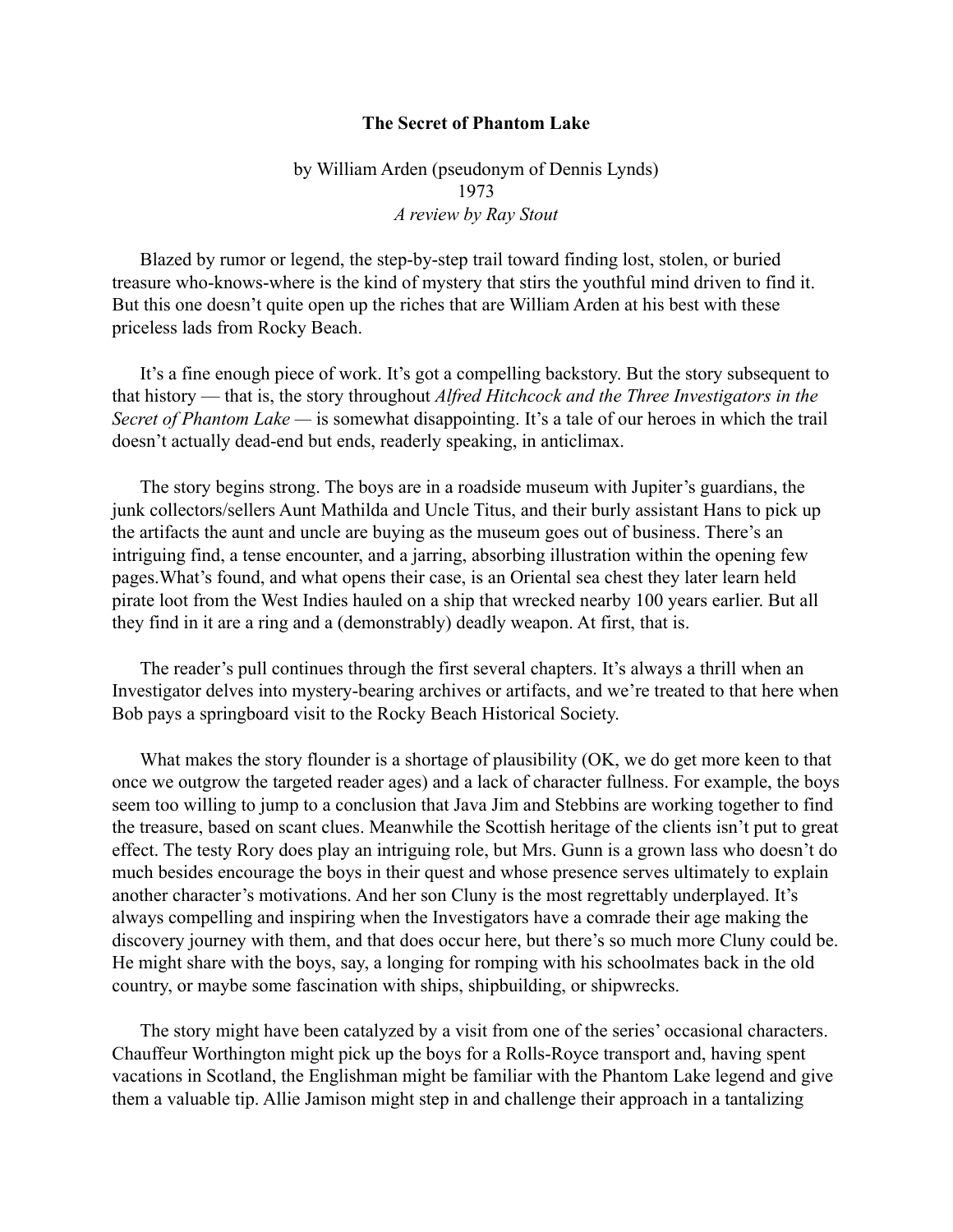## **The Secret of Phantom Lake**

## by William Arden (pseudonym of Dennis Lynds) 1973 *A review by Ray Stout*

Blazed by rumor or legend, the step-by-step trail toward finding lost, stolen, or buried treasure who-knows-where is the kind of mystery that stirs the youthful mind driven to find it. But this one doesn't quite open up the riches that are William Arden at his best with these priceless lads from Rocky Beach.

It's a fine enough piece of work. It's got a compelling backstory. But the story subsequent to that history — that is, the story throughout *Alfred Hitchcock and the Three Investigators in the Secret of Phantom Lake —* is somewhat disappointing. It's a tale of our heroes in which the trail doesn't actually dead-end but ends, readerly speaking, in anticlimax.

The story begins strong. The boys are in a roadside museum with Jupiter's guardians, the junk collectors/sellers Aunt Mathilda and Uncle Titus, and their burly assistant Hans to pick up the artifacts the aunt and uncle are buying as the museum goes out of business. There's an intriguing find, a tense encounter, and a jarring, absorbing illustration within the opening few pages.What's found, and what opens their case, is an Oriental sea chest they later learn held pirate loot from the West Indies hauled on a ship that wrecked nearby 100 years earlier. But all they find in it are a ring and a (demonstrably) deadly weapon. At first, that is.

The reader's pull continues through the first several chapters. It's always a thrill when an Investigator delves into mystery-bearing archives or artifacts, and we're treated to that here when Bob pays a springboard visit to the Rocky Beach Historical Society.

What makes the story flounder is a shortage of plausibility (OK, we do get more keen to that once we outgrow the targeted reader ages) and a lack of character fullness. For example, the boys seem too willing to jump to a conclusion that Java Jim and Stebbins are working together to find the treasure, based on scant clues. Meanwhile the Scottish heritage of the clients isn't put to great effect. The testy Rory does play an intriguing role, but Mrs. Gunn is a grown lass who doesn't do much besides encourage the boys in their quest and whose presence serves ultimately to explain another character's motivations. And her son Cluny is the most regrettably underplayed. It's always compelling and inspiring when the Investigators have a comrade their age making the discovery journey with them, and that does occur here, but there's so much more Cluny could be. He might share with the boys, say, a longing for romping with his schoolmates back in the old country, or maybe some fascination with ships, shipbuilding, or shipwrecks.

The story might have been catalyzed by a visit from one of the series' occasional characters. Chauffeur Worthington might pick up the boys for a Rolls-Royce transport and, having spent vacations in Scotland, the Englishman might be familiar with the Phantom Lake legend and give them a valuable tip. Allie Jamison might step in and challenge their approach in a tantalizing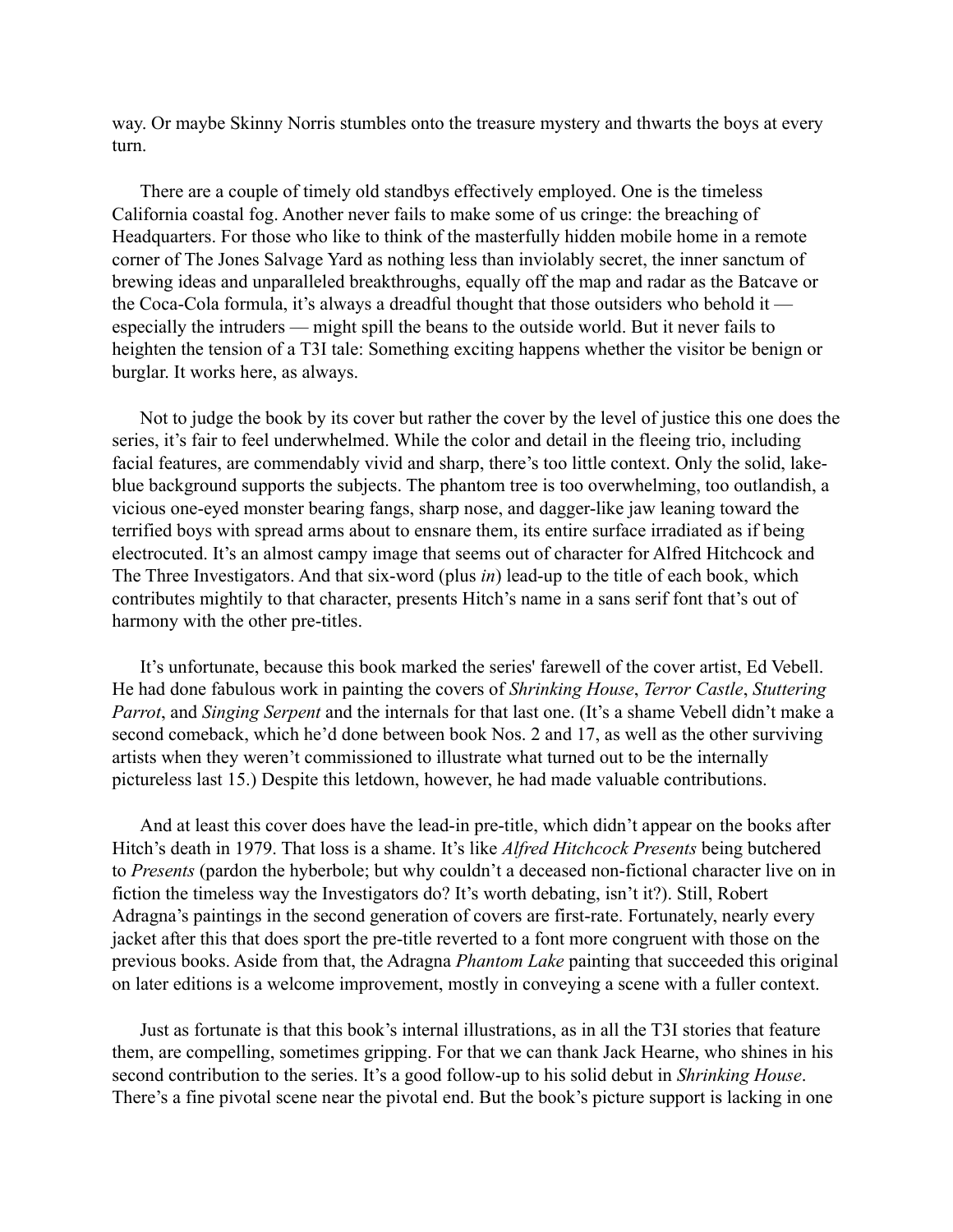way. Or maybe Skinny Norris stumbles onto the treasure mystery and thwarts the boys at every turn.

There are a couple of timely old standbys effectively employed. One is the timeless California coastal fog. Another never fails to make some of us cringe: the breaching of Headquarters. For those who like to think of the masterfully hidden mobile home in a remote corner of The Jones Salvage Yard as nothing less than inviolably secret, the inner sanctum of brewing ideas and unparalleled breakthroughs, equally off the map and radar as the Batcave or the Coca-Cola formula, it's always a dreadful thought that those outsiders who behold it especially the intruders — might spill the beans to the outside world. But it never fails to heighten the tension of a T3I tale: Something exciting happens whether the visitor be benign or burglar. It works here, as always.

Not to judge the book by its cover but rather the cover by the level of justice this one does the series, it's fair to feel underwhelmed. While the color and detail in the fleeing trio, including facial features, are commendably vivid and sharp, there's too little context. Only the solid, lakeblue background supports the subjects. The phantom tree is too overwhelming, too outlandish, a vicious one-eyed monster bearing fangs, sharp nose, and dagger-like jaw leaning toward the terrified boys with spread arms about to ensnare them, its entire surface irradiated as if being electrocuted. It's an almost campy image that seems out of character for Alfred Hitchcock and The Three Investigators. And that six-word (plus *in*) lead-up to the title of each book, which contributes mightily to that character, presents Hitch's name in a sans serif font that's out of harmony with the other pre-titles.

It's unfortunate, because this book marked the series' farewell of the cover artist, Ed Vebell. He had done fabulous work in painting the covers of *Shrinking House*, *Terror Castle*, *Stuttering Parrot*, and *Singing Serpent* and the internals for that last one. (It's a shame Vebell didn't make a second comeback, which he'd done between book Nos. 2 and 17, as well as the other surviving artists when they weren't commissioned to illustrate what turned out to be the internally pictureless last 15.) Despite this letdown, however, he had made valuable contributions.

And at least this cover does have the lead-in pre-title, which didn't appear on the books after Hitch's death in 1979. That loss is a shame. It's like *Alfred Hitchcock Presents* being butchered to *Presents* (pardon the hyberbole; but why couldn't a deceased non-fictional character live on in fiction the timeless way the Investigators do? It's worth debating, isn't it?). Still, Robert Adragna's paintings in the second generation of covers are first-rate. Fortunately, nearly every jacket after this that does sport the pre-title reverted to a font more congruent with those on the previous books. Aside from that, the Adragna *Phantom Lake* painting that succeeded this original on later editions is a welcome improvement, mostly in conveying a scene with a fuller context.

Just as fortunate is that this book's internal illustrations, as in all the T3I stories that feature them, are compelling, sometimes gripping. For that we can thank Jack Hearne, who shines in his second contribution to the series. It's a good follow-up to his solid debut in *Shrinking House*. There's a fine pivotal scene near the pivotal end. But the book's picture support is lacking in one